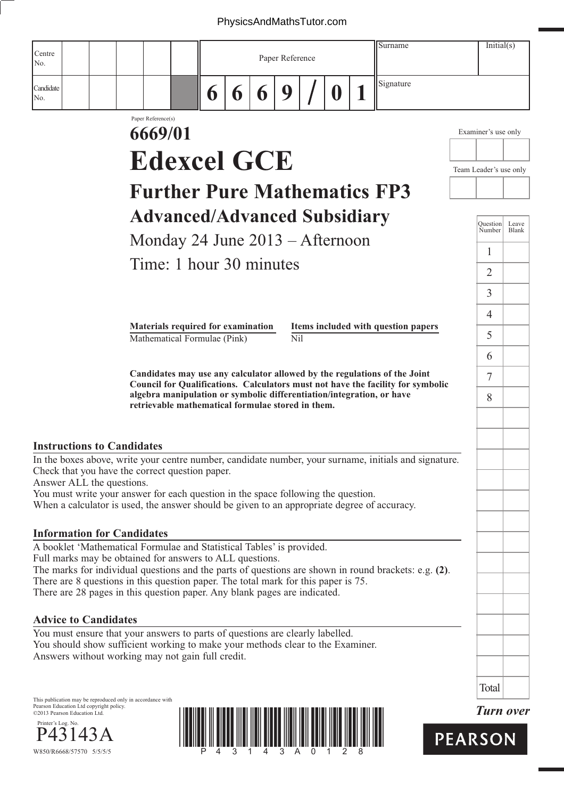|                                                                         |         |                                                            |                    |                                                                                                                                                                                                                      |   |   |   |                 |                  | Surname                                                                                                                                                      | Initial(s)             |                  |
|-------------------------------------------------------------------------|---------|------------------------------------------------------------|--------------------|----------------------------------------------------------------------------------------------------------------------------------------------------------------------------------------------------------------------|---|---|---|-----------------|------------------|--------------------------------------------------------------------------------------------------------------------------------------------------------------|------------------------|------------------|
| Centre<br>No.                                                           |         |                                                            |                    |                                                                                                                                                                                                                      |   |   |   | Paper Reference |                  |                                                                                                                                                              |                        |                  |
| Candidate<br>No.                                                        |         |                                                            |                    |                                                                                                                                                                                                                      | 6 | 6 | 6 | 9               | $\boldsymbol{0}$ | Signature                                                                                                                                                    |                        |                  |
|                                                                         |         |                                                            | Paper Reference(s) |                                                                                                                                                                                                                      |   |   |   |                 |                  |                                                                                                                                                              |                        |                  |
|                                                                         |         |                                                            | 6669/01            |                                                                                                                                                                                                                      |   |   |   |                 |                  |                                                                                                                                                              | Examiner's use only    |                  |
|                                                                         |         |                                                            |                    | <b>Edexcel GCE</b>                                                                                                                                                                                                   |   |   |   |                 |                  |                                                                                                                                                              | Team Leader's use only |                  |
|                                                                         |         |                                                            |                    |                                                                                                                                                                                                                      |   |   |   |                 |                  | <b>Further Pure Mathematics FP3</b>                                                                                                                          |                        |                  |
|                                                                         |         |                                                            |                    |                                                                                                                                                                                                                      |   |   |   |                 |                  |                                                                                                                                                              |                        |                  |
|                                                                         |         |                                                            |                    | <b>Advanced/Advanced Subsidiary</b>                                                                                                                                                                                  |   |   |   |                 |                  |                                                                                                                                                              | Ouestion<br>Number     | Leave<br>Blank   |
|                                                                         |         |                                                            |                    | Monday 24 June $2013 -$ Afternoon                                                                                                                                                                                    |   |   |   |                 |                  |                                                                                                                                                              | $\mathbf{1}$           |                  |
|                                                                         |         |                                                            |                    | Time: 1 hour 30 minutes                                                                                                                                                                                              |   |   |   |                 |                  |                                                                                                                                                              | 2                      |                  |
|                                                                         |         |                                                            |                    |                                                                                                                                                                                                                      |   |   |   |                 |                  |                                                                                                                                                              | 3                      |                  |
|                                                                         |         |                                                            |                    |                                                                                                                                                                                                                      |   |   |   |                 |                  |                                                                                                                                                              | $\overline{4}$         |                  |
|                                                                         |         |                                                            |                    | Materials required for examination<br>Mathematical Formulae (Pink)                                                                                                                                                   |   |   |   | Nil             |                  | Items included with question papers                                                                                                                          | 5                      |                  |
|                                                                         |         |                                                            |                    |                                                                                                                                                                                                                      |   |   |   |                 |                  |                                                                                                                                                              | 6                      |                  |
|                                                                         |         |                                                            |                    |                                                                                                                                                                                                                      |   |   |   |                 |                  | Candidates may use any calculator allowed by the regulations of the Joint<br>Council for Qualifications. Calculators must not have the facility for symbolic | $\tau$                 |                  |
|                                                                         |         |                                                            |                    | retrievable mathematical formulae stored in them.                                                                                                                                                                    |   |   |   |                 |                  | algebra manipulation or symbolic differentiation/integration, or have                                                                                        | 8                      |                  |
|                                                                         |         |                                                            |                    |                                                                                                                                                                                                                      |   |   |   |                 |                  |                                                                                                                                                              |                        |                  |
|                                                                         |         | <b>Instructions to Candidates</b>                          |                    |                                                                                                                                                                                                                      |   |   |   |                 |                  |                                                                                                                                                              |                        |                  |
|                                                                         |         | Answer ALL the questions.                                  |                    | Check that you have the correct question paper.                                                                                                                                                                      |   |   |   |                 |                  | In the boxes above, write your centre number, candidate number, your surname, initials and signature.                                                        |                        |                  |
|                                                                         |         |                                                            |                    | You must write your answer for each question in the space following the question.                                                                                                                                    |   |   |   |                 |                  | When a calculator is used, the answer should be given to an appropriate degree of accuracy.                                                                  |                        |                  |
|                                                                         |         | <b>Information for Candidates</b>                          |                    |                                                                                                                                                                                                                      |   |   |   |                 |                  |                                                                                                                                                              |                        |                  |
|                                                                         |         |                                                            |                    | A booklet 'Mathematical Formulae and Statistical Tables' is provided.<br>Full marks may be obtained for answers to ALL questions.                                                                                    |   |   |   |                 |                  |                                                                                                                                                              |                        |                  |
|                                                                         |         |                                                            |                    | There are 8 questions in this question paper. The total mark for this paper is 75.<br>There are 28 pages in this question paper. Any blank pages are indicated.                                                      |   |   |   |                 |                  | The marks for individual questions and the parts of questions are shown in round brackets: e.g. (2).                                                         |                        |                  |
| <b>Advice to Candidates</b>                                             |         |                                                            |                    |                                                                                                                                                                                                                      |   |   |   |                 |                  |                                                                                                                                                              |                        |                  |
|                                                                         |         |                                                            |                    | You must ensure that your answers to parts of questions are clearly labelled.<br>You should show sufficient working to make your methods clear to the Examiner.<br>Answers without working may not gain full credit. |   |   |   |                 |                  |                                                                                                                                                              |                        |                  |
|                                                                         |         |                                                            |                    |                                                                                                                                                                                                                      |   |   |   |                 |                  |                                                                                                                                                              | Total                  |                  |
| Pearson Education Ltd copyright policy.<br>©2013 Pearson Education Ltd. |         | This publication may be reproduced only in accordance with |                    |                                                                                                                                                                                                                      |   |   |   |                 |                  |                                                                                                                                                              |                        | <b>Turn over</b> |
| Printer's Log. No.<br>W850/R6668/57570 5/5/5/5                          | P43143A |                                                            |                    |                                                                                                                                                                                                                      |   |   |   |                 |                  |                                                                                                                                                              | <b>PEARSON</b>         |                  |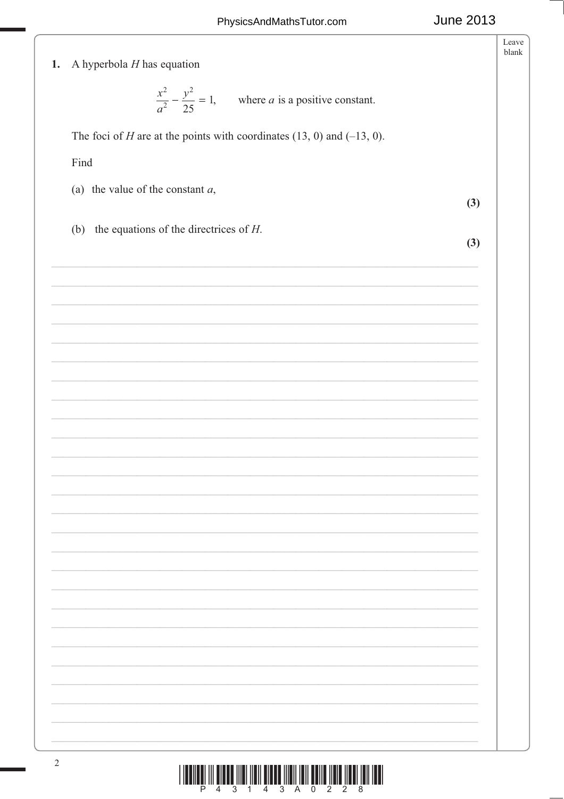|                                                                               | Leave<br>blank |
|-------------------------------------------------------------------------------|----------------|
| A hyperbola $H$ has equation<br>1.                                            |                |
|                                                                               |                |
| $rac{x^2}{a^2} - \frac{y^2}{25} = 1$ , where <i>a</i> is a positive constant. |                |
|                                                                               |                |
| The foci of H are at the points with coordinates $(13, 0)$ and $(-13, 0)$ .   |                |
|                                                                               |                |
| Find                                                                          |                |
|                                                                               |                |
| (a) the value of the constant $a$ ,                                           |                |
|                                                                               | (3)            |
| (b) the equations of the directrices of $H$ .                                 |                |
|                                                                               | (3)            |
|                                                                               |                |
|                                                                               |                |
|                                                                               |                |
|                                                                               |                |
|                                                                               |                |
|                                                                               |                |
|                                                                               |                |
|                                                                               |                |
|                                                                               |                |
|                                                                               |                |
|                                                                               |                |
|                                                                               |                |
|                                                                               |                |
|                                                                               |                |
|                                                                               |                |
|                                                                               |                |
|                                                                               |                |
|                                                                               |                |
|                                                                               |                |
|                                                                               |                |
|                                                                               |                |
|                                                                               |                |
|                                                                               |                |
|                                                                               |                |
|                                                                               |                |
|                                                                               |                |
|                                                                               |                |
|                                                                               |                |
|                                                                               |                |
|                                                                               |                |
|                                                                               |                |
|                                                                               |                |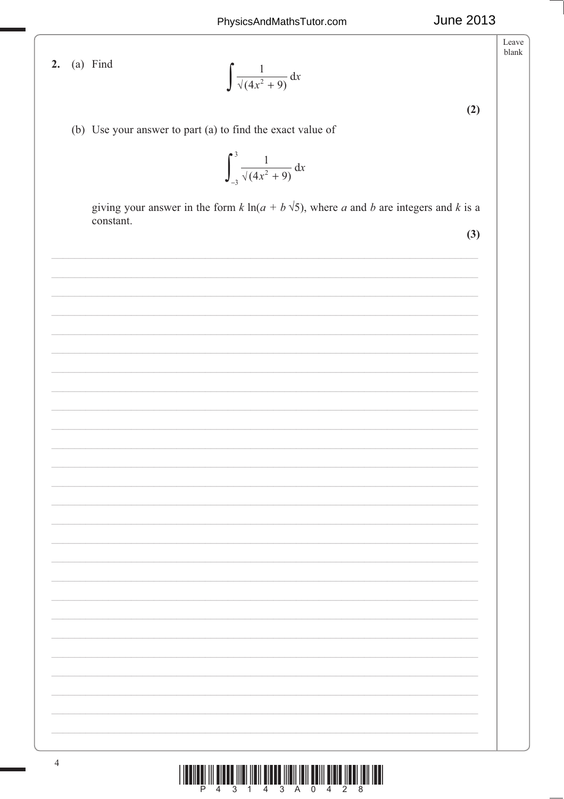2. (a) Find

$$
\int \frac{1}{\sqrt{4x^2+9}} \, \mathrm{d}x
$$

 $(2)$ 

**June 2013** 

Leave blank

(b) Use your answer to part (a) to find the exact value of

$$
\int_{-3}^{3} \frac{1}{\sqrt{4x^2+9}} \, \mathrm{d}x
$$

giving your answer in the form  $k \ln(a + b \sqrt{5})$ , where a and b are integers and k is a constant.

 $(3)$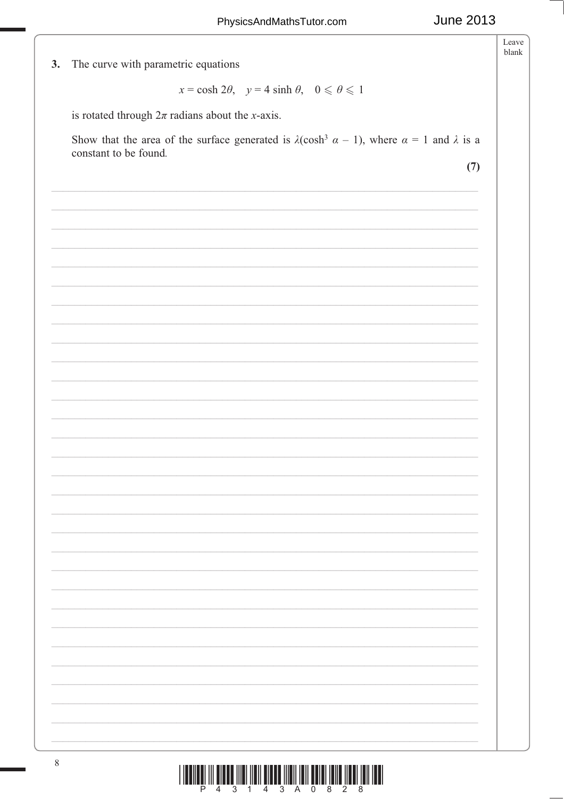Leave blank

3. The curve with parametric equations

 $x = \cosh 2\theta$ ,  $y = 4 \sinh \theta$ ,  $0 \le \theta \le 1$ 

is rotated through  $2\pi$  radians about the *x*-axis.

Show that the area of the surface generated is  $\lambda(\cosh^3 \alpha - 1)$ , where  $\alpha = 1$  and  $\lambda$  is a constant to be found.

 $(7)$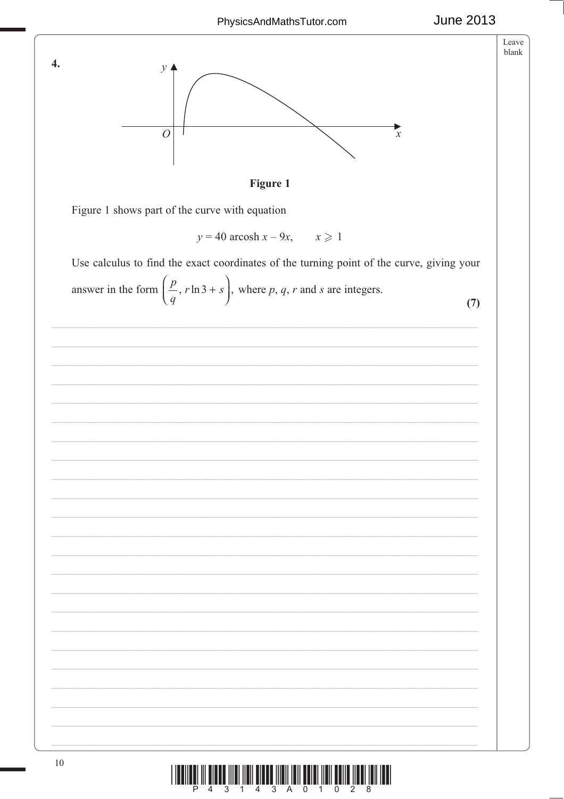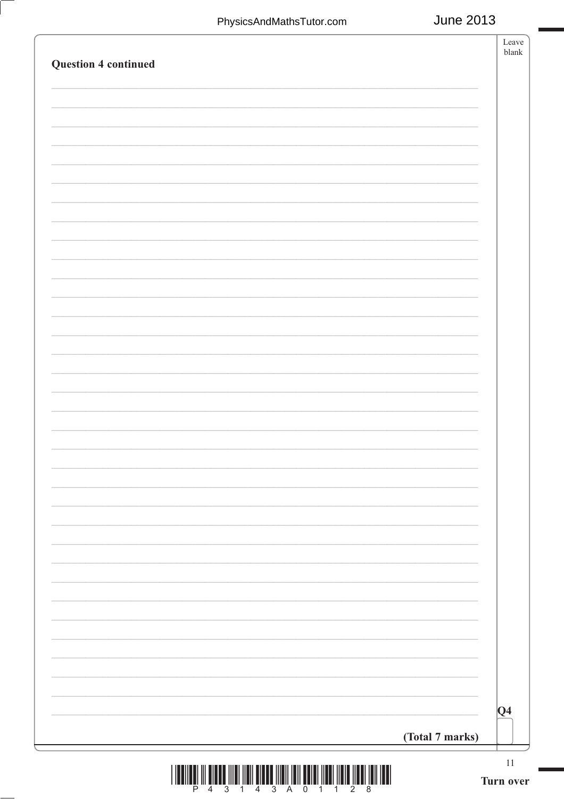| <b>Question 4 continued</b> |                 | Leave<br>${\it blank}$ |
|-----------------------------|-----------------|------------------------|
|                             |                 |                        |
|                             |                 |                        |
|                             |                 |                        |
|                             |                 |                        |
|                             |                 |                        |
|                             |                 |                        |
|                             |                 |                        |
|                             |                 |                        |
|                             |                 |                        |
|                             |                 |                        |
|                             |                 |                        |
|                             |                 |                        |
|                             |                 |                        |
|                             |                 |                        |
|                             |                 |                        |
|                             |                 |                        |
|                             |                 |                        |
|                             |                 |                        |
|                             |                 |                        |
|                             |                 |                        |
|                             |                 |                        |
|                             |                 |                        |
|                             |                 |                        |
|                             |                 |                        |
|                             |                 |                        |
|                             |                 |                        |
|                             |                 |                        |
|                             |                 |                        |
|                             |                 |                        |
|                             |                 |                        |
|                             |                 |                        |
|                             |                 | Q4                     |
|                             | (Total 7 marks) |                        |
|                             |                 | $11\,$                 |

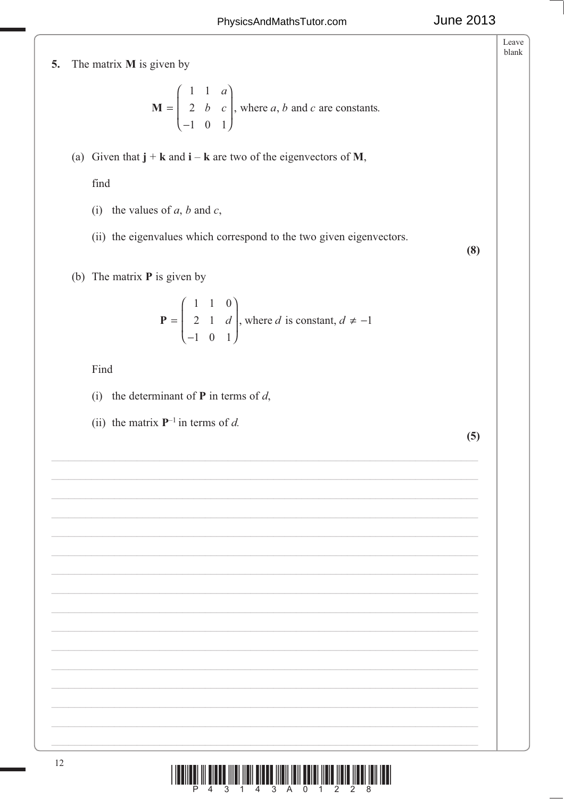## **June 2013**

Leave blank

## The matrix **M** is given by 5.

$$
\mathbf{M} = \begin{pmatrix} 1 & 1 & a \\ 2 & b & c \\ -1 & 0 & 1 \end{pmatrix}
$$
, where *a*, *b* and *c* are constants.

(a) Given that  $\mathbf{j} + \mathbf{k}$  and  $\mathbf{i} - \mathbf{k}$  are two of the eigenvectors of M,

find

- (i) the values of  $a$ ,  $b$  and  $c$ ,
- (ii) the eigenvalues which correspond to the two given eigenvectors.

 $(8)$ 

(b) The matrix  $P$  is given by

$$
\mathbf{P} = \begin{pmatrix} 1 & 1 & 0 \\ 2 & 1 & d \\ -1 & 0 & 1 \end{pmatrix}
$$
, where *d* is constant,  $d \neq -1$ 

Find

- (i) the determinant of  $P$  in terms of  $d$ ,
- (ii) the matrix  $\mathbf{P}^{-1}$  in terms of d.

 $(5)$ 

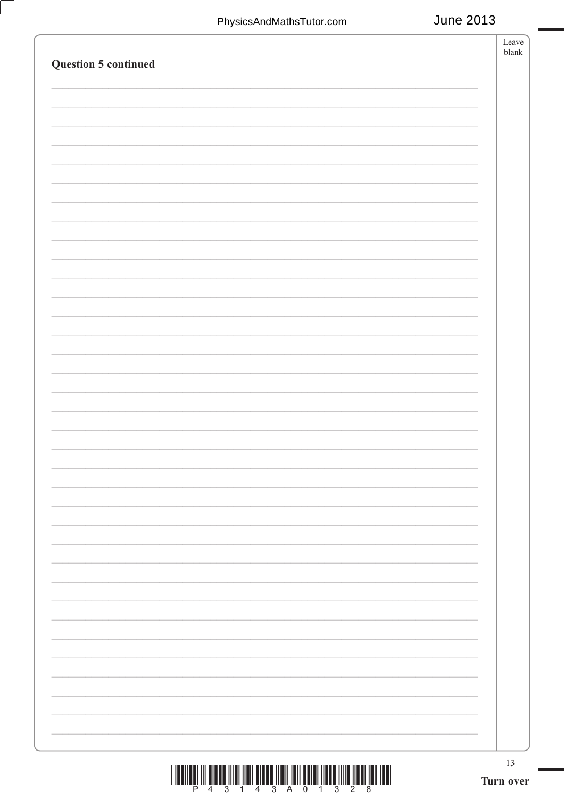| Question 5 continued | $\operatorname{Leave}$<br>${\it blank}$ |
|----------------------|-----------------------------------------|
|                      |                                         |
|                      |                                         |
|                      |                                         |
|                      |                                         |
|                      |                                         |
|                      |                                         |
|                      |                                         |
|                      |                                         |
|                      |                                         |
|                      |                                         |
|                      |                                         |
|                      |                                         |
|                      |                                         |
|                      |                                         |
|                      |                                         |
|                      |                                         |
|                      |                                         |
|                      |                                         |
|                      |                                         |
|                      |                                         |
|                      |                                         |
|                      |                                         |
|                      |                                         |
|                      |                                         |
|                      |                                         |
|                      |                                         |
|                      | 13<br>Turn over                         |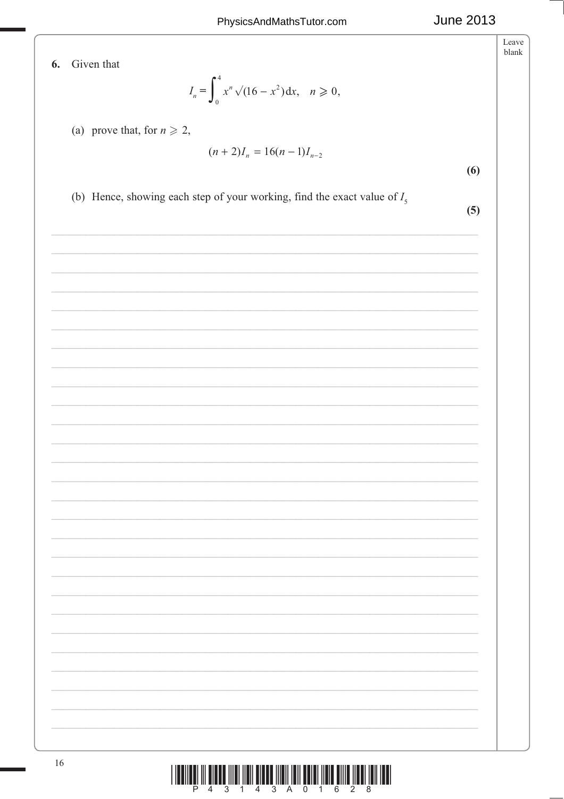| Given that<br>6. |                                                                                                                       | Leave<br>blank |
|------------------|-----------------------------------------------------------------------------------------------------------------------|----------------|
|                  | $I_n = \int_0^4 x^n \sqrt{(16 - x^2)} dx$ , $n \ge 0$ ,                                                               |                |
|                  |                                                                                                                       |                |
|                  | (a) prove that, for $n \ge 2$ ,                                                                                       |                |
|                  | $(n+2)I_n = 16(n-1)I_{n-2}$<br>(6)                                                                                    |                |
|                  | (b) Hence, showing each step of your working, find the exact value of $I_5$                                           |                |
|                  | (5)                                                                                                                   |                |
|                  |                                                                                                                       |                |
|                  | <u> 1989 - Johann John Stoff, deutscher Stoffen und der Stoffen und der Stoffen und der Stoffen und der Stoffen u</u> |                |
|                  |                                                                                                                       |                |
|                  |                                                                                                                       |                |
|                  |                                                                                                                       |                |
|                  | <u> 1989 - Johann John Stoff, deutscher Stoffen und der Stoffen und der Stoffen und der Stoffen und der Stoffen u</u> |                |
|                  |                                                                                                                       |                |
|                  |                                                                                                                       |                |
|                  |                                                                                                                       |                |
|                  |                                                                                                                       |                |
|                  |                                                                                                                       |                |
|                  |                                                                                                                       |                |
|                  |                                                                                                                       |                |
|                  |                                                                                                                       |                |
|                  |                                                                                                                       |                |
|                  |                                                                                                                       |                |
|                  |                                                                                                                       |                |
|                  |                                                                                                                       |                |
|                  |                                                                                                                       |                |
|                  |                                                                                                                       |                |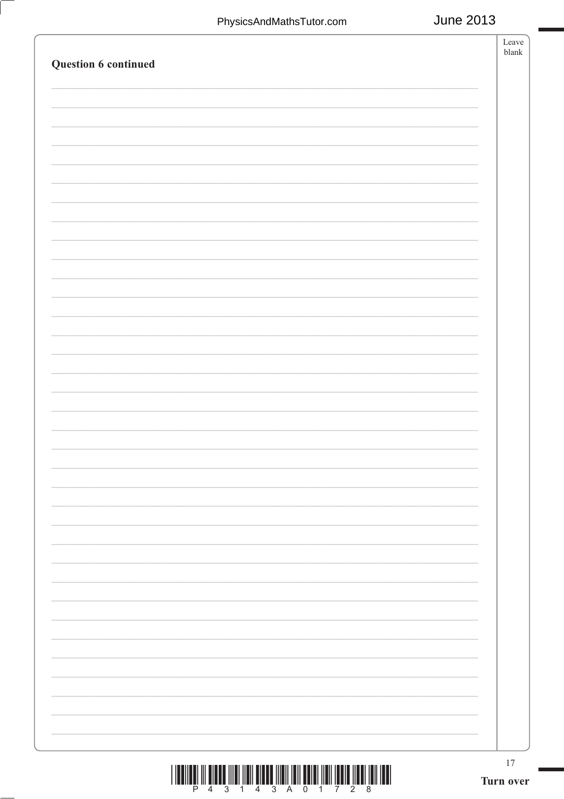| Question 6 continued | Leave<br>${\it blank}$ |
|----------------------|------------------------|
|                      |                        |
|                      |                        |
|                      |                        |
|                      |                        |
|                      |                        |
|                      |                        |
|                      |                        |
|                      |                        |
|                      |                        |
|                      |                        |
|                      |                        |
|                      |                        |
|                      |                        |
|                      |                        |
|                      |                        |
|                      |                        |
|                      |                        |
|                      |                        |
|                      |                        |
|                      |                        |
|                      |                        |
|                      |                        |
|                      | $17$<br>Turn over      |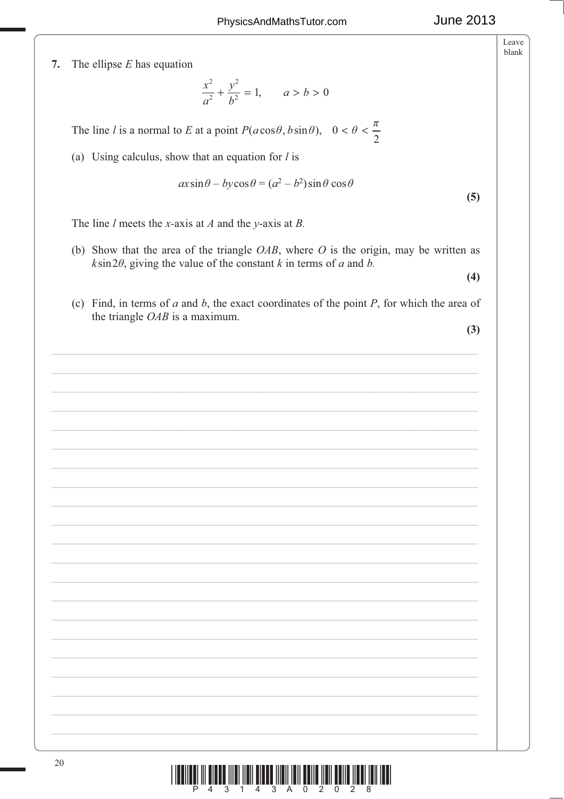Leave blank

7. The ellipse  $E$  has equation

$$
\frac{x^2}{a^2} + \frac{y^2}{b^2} = 1, \qquad a > b > 0
$$

The line l is a normal to E at a point  $P(a\cos\theta, b\sin\theta)$ ,  $0 < \theta < \frac{\pi}{2}$ 

(a) Using calculus, show that an equation for  $l$  is

$$
ax\sin\theta - by\cos\theta = (a^2 - b^2)\sin\theta\cos\theta
$$

The line *l* meets the *x*-axis at *A* and the *y*-axis at *B*.

(b) Show that the area of the triangle  $OAB$ , where O is the origin, may be written as  $k\sin 2\theta$ , giving the value of the constant k in terms of a and b.

 $(4)$ 

 $(5)$ 

(c) Find, in terms of  $a$  and  $b$ , the exact coordinates of the point  $P$ , for which the area of the triangle  $OAB$  is a maximum.

 $(3)$ 

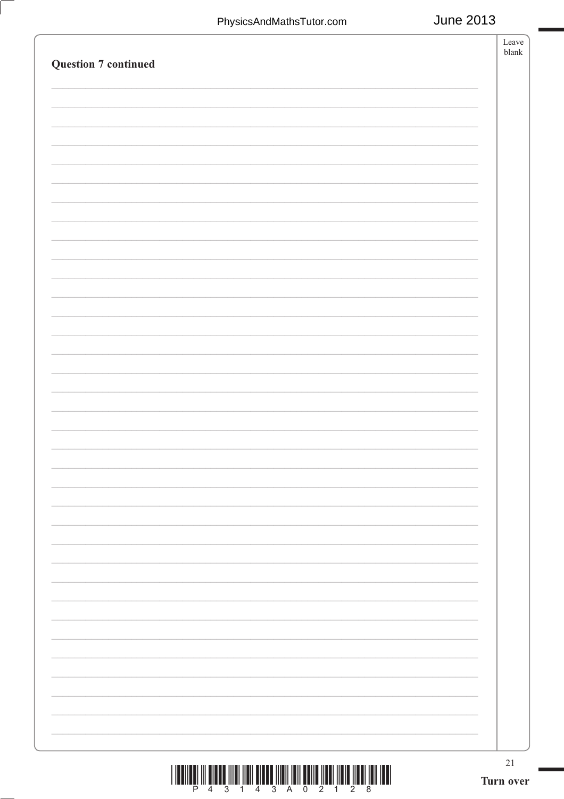| <b>Question 7 continued</b>                                                                                                                                                                                                                                                                                                                                                                  | Leave<br>$b$ lank   |
|----------------------------------------------------------------------------------------------------------------------------------------------------------------------------------------------------------------------------------------------------------------------------------------------------------------------------------------------------------------------------------------------|---------------------|
|                                                                                                                                                                                                                                                                                                                                                                                              |                     |
|                                                                                                                                                                                                                                                                                                                                                                                              |                     |
|                                                                                                                                                                                                                                                                                                                                                                                              |                     |
|                                                                                                                                                                                                                                                                                                                                                                                              |                     |
|                                                                                                                                                                                                                                                                                                                                                                                              |                     |
|                                                                                                                                                                                                                                                                                                                                                                                              |                     |
|                                                                                                                                                                                                                                                                                                                                                                                              |                     |
|                                                                                                                                                                                                                                                                                                                                                                                              |                     |
|                                                                                                                                                                                                                                                                                                                                                                                              |                     |
|                                                                                                                                                                                                                                                                                                                                                                                              |                     |
|                                                                                                                                                                                                                                                                                                                                                                                              |                     |
|                                                                                                                                                                                                                                                                                                                                                                                              |                     |
|                                                                                                                                                                                                                                                                                                                                                                                              |                     |
|                                                                                                                                                                                                                                                                                                                                                                                              |                     |
|                                                                                                                                                                                                                                                                                                                                                                                              |                     |
|                                                                                                                                                                                                                                                                                                                                                                                              |                     |
|                                                                                                                                                                                                                                                                                                                                                                                              |                     |
|                                                                                                                                                                                                                                                                                                                                                                                              |                     |
|                                                                                                                                                                                                                                                                                                                                                                                              |                     |
|                                                                                                                                                                                                                                                                                                                                                                                              |                     |
|                                                                                                                                                                                                                                                                                                                                                                                              |                     |
|                                                                                                                                                                                                                                                                                                                                                                                              |                     |
|                                                                                                                                                                                                                                                                                                                                                                                              |                     |
|                                                                                                                                                                                                                                                                                                                                                                                              |                     |
|                                                                                                                                                                                                                                                                                                                                                                                              |                     |
|                                                                                                                                                                                                                                                                                                                                                                                              |                     |
|                                                                                                                                                                                                                                                                                                                                                                                              |                     |
| $\begin{tabular}{ c c c c c c } \hline   \textbf{H}  &\textbf{H}  &\textbf{H}  &\textbf{H}  &\textbf{H}  &\textbf{H}  &\textbf{H}  &\textbf{H}  &\textbf{H}  &\textbf{H}  &\textbf{H}  &\textbf{H}  &\textbf{H}  &\textbf{H}  &\textbf{H}  &\textbf{H}  &\textbf{H}  &\textbf{H}  &\textbf{H}  &\textbf{H}  &\textbf{H}  &\textbf{H}  &\textbf{H}  &\textbf{H}  &\textbf{$<br>$\overline{3}$ | $21\,$<br>Turn over |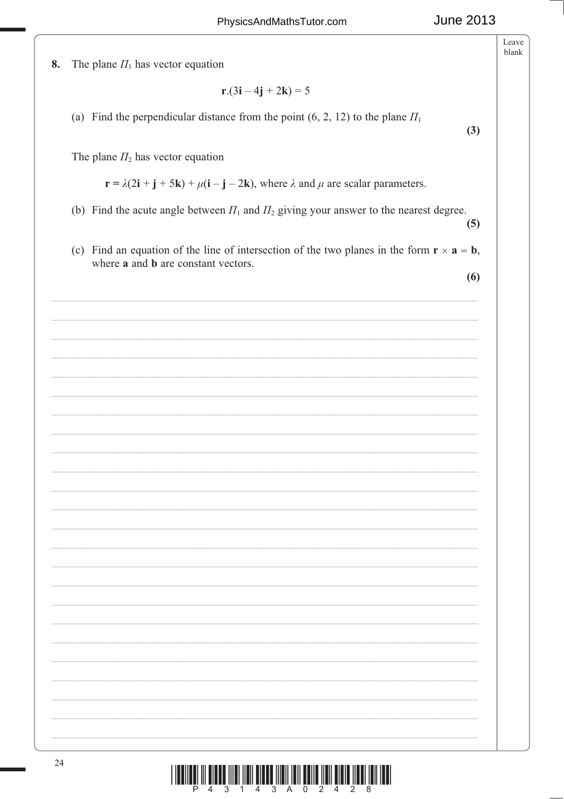Leave  $blank$ 8. The plane  $\Pi_1$  has vector equation  $r.(3i - 4j + 2k) = 5$ (a) Find the perpendicular distance from the point  $(6, 2, 12)$  to the plane  $\Pi_1$  $(3)$ The plane  $\Pi_2$  has vector equation  $\mathbf{r} = \lambda(2\mathbf{i} + \mathbf{j} + 5\mathbf{k}) + \mu(\mathbf{i} - \mathbf{j} - 2\mathbf{k})$ , where  $\lambda$  and  $\mu$  are scalar parameters. (b) Find the acute angle between  $\Pi_1$  and  $\Pi_2$  giving your answer to the nearest degree.  $(5)$ (c) Find an equation of the line of intersection of the two planes in the form  $\mathbf{r} \times \mathbf{a} = \mathbf{b}$ , where a and b are constant vectors.  $(6)$ 24